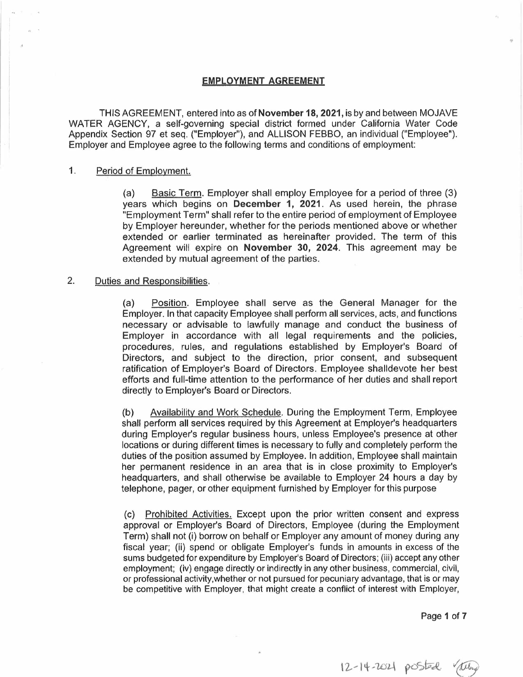# **EMPLOYMENT AGREEMENT**

TH IS AG REEM ENT, entered into as of **November 18, 2021,** is by and between MOJAVE WATER AGENCY, a self-governing special district formed under California Water Code Appendix Section 97 et seq. ("Employer"), and ALLISON FEBBO, an individual ("Employee"). Employer and Employee agree to the following terms and conditions of employment:

#### 1. Period of Employment.

(a) Basic Term. Employer shall employ Employee for a period of three (3) years which begins on **December 1, 2021.** As used herein, the phrase "Employment Term" shall refer to the entire period of employment of Employee by Employer hereunder, whether for the periods mentioned above or whether extended or earlier terminated as hereinafter provided. The term of this Agreement will expire on **November 30, 2024.** This agreement may be extended by mutual agreement of the parties.

### 2. Duties and Responsibilities.

(a) Position. Employee shall serve as the General Manager for the Employer. In that capacity Employee shall perform all services, acts, and functions necessary or advisable to lawfully manage and conduct the business of Employer in accordance with all legal requirements and the policies, procedures, rules, and regulations established by Employer's Board of Directors, and subject to the direction, prior consent, and subsequent ratification of Employer's Board of Directors. Employee shalldevote her best efforts and full-time attention to the performance of her duties and shall report directly to Employer's Board or Directors.

(b) Availability and Work Schedule. During the Employment Term, Employee shall perform all services required by this Agreement at Employer's headquarters during Employer's regular business hours, unless Employee's presence at other locations or during different times is necessary to fully and completely perform the duties of the position assumed by Employee. In addition, Employee shall maintain her permanent residence in an area that is in close proximity to Employer's headquarters, and shall otherwise be available to Employer 24 hours a day by telephone, pager, or other equipment furnished by Employer for this purpose

(c) Prohibited Activities. Except upon the prior written consent and express approval or Employer's Board of Directors, Employee (during the Employment Term) shall not (i) borrow on behalf or Employer any amount of money during any fiscal year; (ii) spend or obligate Employer's funds in amounts in excess of the sums budgeted for expenditure by Employer's Board of Directors; (iii) accept any other employment; (iv) engage directly or indirectly in any other business, commercial, civil, or professional activity.whether or not pursued for pecuniary advantage, that is or may be competitive with Employer, that might create a conflict of interest with Employer,

Page **1 of 7** 

12-14-2021 posted they

.,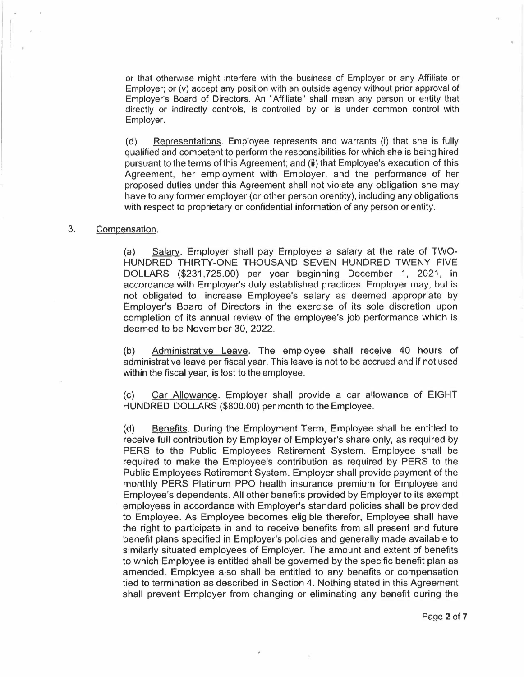or that otherwise might interfere with the business of Employer or any Affiliate or Employer; or (v) accept any position with an outside agency without prior approval of Employer's Board of Directors. An "Affiliate" shall mean any person or entity that directly or indirectly controls, is controlled by or is under common control with Employer.

(d) Representations. Employee represents and warrants (i) that she is fully qualified and competent to perform the responsibilities for which she is being hired pursuant to the terms of this Agreement; and (ii) that Employee's execution of this Agreement, her employment with Employer, and the performance of her proposed duties under this Agreement shall not violate any obligation she may have to any former employer (or other person orentity), including any obligations with respect to proprietary or confidential information of any person or entity.

# 3. Compensation.

(a) Salary. Employer shall pay Employee a salary at the rate of TWO-HUNDRED THIRTY-ONE THOUSAND SEVEN HUNDRED TWENY FIVE DOLLARS (\$231,725.00) per year beginning December 1, 2021, in accordance with Employer's duly established practices. Employer may, but is not obligated to, increase Employee's salary as deemed appropriate by Employer's Board of Directors in the exercise of its sole discretion upon completion of its annual review of the employee's job performance which is deemed to be November 30, 2022.

(b) Administrative Leave. The employee shall receive 40 hours of administrative leave per fiscal year. This leave is not to be accrued and if not used within the fiscal year, is lost to the employee.

(c) Car Allowance. Employer shall provide a car allowance of EIGHT HUNDRED DOLLARS (\$800.00) per month to the Employee.

(d) Benefits. During the Employment Term, Employee shall be entitled to receive full contribution by Employer of Employer's share only, as required by PERS to the Public Employees Retirement System. Employee shall be required to make the Employee's contribution as required by PERS to the Public Employees Retirement System. Employer shall provide payment of the monthly PERS Platinum PPO health insurance premium for Employee and Employee's dependents. All other benefits provided by Employer to its exempt employees in accordance with Employer's standard policies shall be provided to Employee. As Employee becomes eligible therefor, Employee shall have the right to participate in and to receive benefits from all present and future benefit plans specified in Employer's policies and generally made available to similarly situated employees of Employer. The amount and extent of benefits to which Employee is entitled shall be governed by the specific benefit plan as amended. Employee also shall be entitled to any benefits or compensation tied to termination as described in Section 4. Nothing stated in this Agreement shall prevent Employer from changing or eliminating any benefit during the •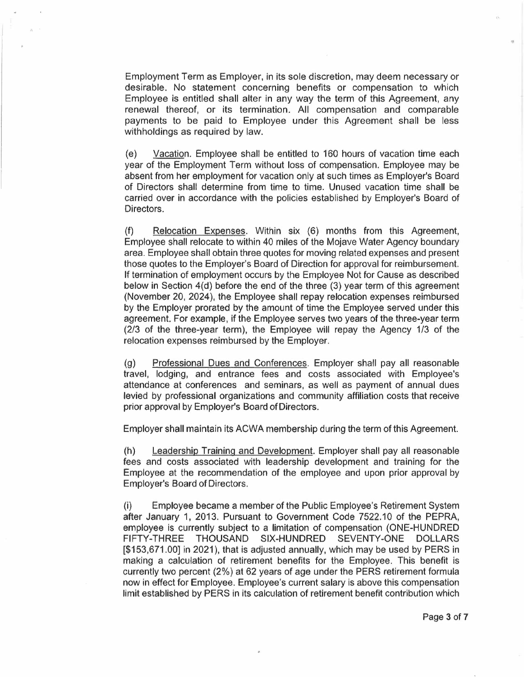Employment Term as Employer, in its sole discretion, may deem necessary or desirable. No statement concerning benefits or compensation to which Employee is entitled shall alter in any way the term of this Agreement, any renewal thereof, or its termination. All compensation and comparable payments to be paid to Employee under this Agreement shall be less withholdings as required by law.

(e) Vacation. Employee shall be entitled to 160 hours of vacation time each year of the Employment Term without loss of compensation. Employee may be absent from her employment for vacation only at such times as Employer's Board of Directors shall determine from time to time. Unused vacation time shall be carried over in accordance with the policies established by Employer's Board of Directors.

(f) Relocation Expenses. Within six (6) months from this Agreement, Employee shall relocate to within 40 miles of the Mojave Water Agency boundary area. Employee shall obtain three quotes for moving related expenses and present those quotes to the Employer's Board of Direction for approval for reimbursement. If termination of employment occurs by the Employee Not for Cause as described below in Section 4(d) before the end of the three (3) year term of this agreement (November 20, 2024), the Employee shall repay relocation expenses reimbursed by the Employer prorated by the amount of time the Employee served under this agreement. For example, if the Employee serves two years of the three-year term (2/3 of the three-year term), the Employee will repay the Agency 1/3 of the relocation expenses reimbursed by the Employer.

(g) Professional Dues and Conferences. Employer shall pay all reasonable travel, lodging, and entrance fees and costs associated with Employee's attendance at conferences and seminars, as well as payment of annual dues levied by professional organizations and community affiliation costs that receive prior approval by Employer's Board of Directors.

Employer shall maintain its ACWA membership during the term of this Agreement.

(h) Leadership Training and Development. Employer shall pay all reasonable fees and costs associated with leadership development and training for the Employee at the recommendation of the employee and upon prior approval by Employer's Board of Directors.

(i) Employee became a member of the Public Employee's Retirement System after January 1, 2013. Pursuant to Government Code 7522.10 of the PEPRA, employee is currently subject to a limitation of compensation (ONE-HUNDRED FIFTY-THREE THOUSAND SIX-HUNDRED SEVENTY-ONE DOLLARS [\$153,671.00] in 2021 ), that is adjusted annually, which may be used by PERS in making a calculation of retirement benefits for the Employee. This benefit is currently two percent (2%) at 62 years of age under the PERS retirement formula now in effect for Employee. Employee's current salary is above this compensation limit established by PERS in its calculation of retirement benefit contribution which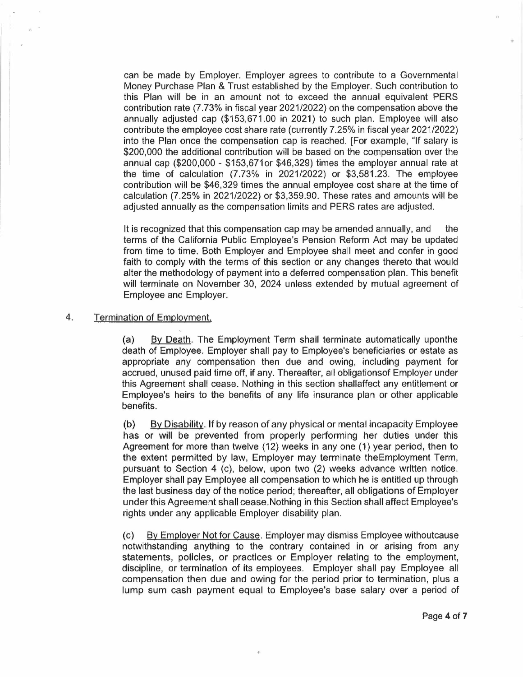can be made by Employer. Employer agrees to contribute to a Governmental Money Purchase Plan & Trust established by the Employer. Such contribution to this Plan will be in an amount not to exceed the annual equivalent PERS contribution rate (7.73% in fiscal year 2021/2022) on the compensation above the annually adjusted cap (\$153,671.00 in 2021) to such plan. Employee will also contribute the employee cost share rate (currently 7.25% in fiscal year 2021/2022) into the Plan once the compensation cap is reached. [For example, "If salary is \$200,000 the additional contribution will be based on the compensation over the annual cap (\$200,000 - \$153,671or \$46,329) times the employer annual rate at the time of calculation (7.73% in 2021/2022) or \$3,581.23. The employee contribution will be \$46,329 times the annual employee cost share at the time of calculation (7.25% in 2021/2022) or \$3,359.90. These rates and amounts will be adjusted annually as the compensation limits and PERS rates are adjusted.

It is recognized that this compensation cap may be amended annually, and the terms of the California Public Employee's Pension Reform Act may be updated from time to time. Both Employer and Employee shall meet and confer in good faith to comply with the terms of this section or any changes thereto that would alter the methodology of payment into a deferred compensation plan. This benefit will terminate on November 30, 2024 unless extended by mutual agreement of Employee and Employer.

## 4. Termination of Employment.

(a) By Death. The Employment Term shall terminate automatically uponthe death of Employee. Employer shall pay to Employee's beneficiaries or estate as appropriate any compensation then due and owing, including payment for accrued, unused paid time off, if any. Thereafter, all obligationsof Employer under this Agreement shall cease. Nothing in this section shallaffect any entitlement or Employee's heirs to the benefits of any life insurance plan or other applicable benefits.

(b) By Disability. If by reason of any physical or mental incapacity Employee has or will be prevented from properly performing her duties under this Agreement for more than twelve (12) weeks in any one (1) year period, then to the extent permitted by law, Employer may terminate theEmployment Term, pursuant to Section 4 (c), below, upon two (2) weeks advance written notice. Employer shall pay Employee all compensation to which he is entitled up through the last business day of the notice period; thereafter, all obligations of Employer under this Agreement shall cease.Nothing in this Section shall affect Employee's rights under any applicable Employer disability plan.

(c) By Employer Not for Cause. Employer may dismiss Employee withoutcause notwithstanding anything to the contrary contained in or arising from any statements, policies, or practices or Employer relating to the employment, discipline, or termination of its employees. Employer shall pay Employee all compensation then due and owing for the period prior to termination, plus a lump sum cash payment equal to Employee's base salary over a period of

..

..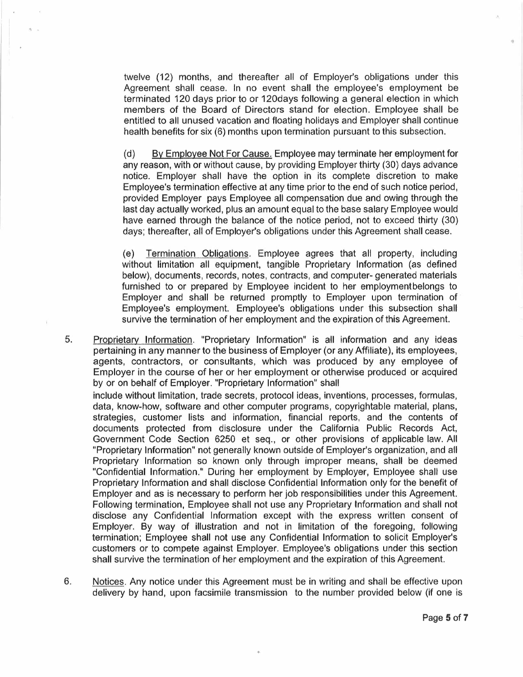twelve (12) months, and thereafter all of Employer's obligations under this Agreement shall cease. In no event shall the employee's employment be terminated 120 days prior to or 120days following a general election in which members of the Board of Directors stand for election. Employee shall be entitled to all unused vacation and floating holidays and Employer shall continue health benefits for six (6) months upon termination pursuant to this subsection.

(d) By Employee Not For Cause. Employee may terminate her employment for any reason, with or without cause, by providing Employer thirty (30) days advance notice. Employer shall have the option in its complete discretion to make Employee's termination effective at any time prior to the end of such notice period, provided Employer pays Employee all compensation due and owing through the last day actually worked, plus an amount equal to the base salary Employee would have earned through the balance of the notice period, not to exceed thirty (30) days; thereafter, all of Employer's obligations under this Agreement shall cease.

(e) Termination Obligations. Employee agrees that all property, including without limitation all equipment, tangible Proprietary Information (as defined below), documents, records, notes, contracts, and computer- generated materials furnished to or prepared by Employee incident to her employmentbelongs to Employer and shall be returned promptly to Employer upon termination of Employee's employment. Employee's obligations under this subsection shall survive the termination of her employment and the expiration of this Agreement.

5. Proprietary Information. "Proprietary Information" is all information and any ideas pertaining in any manner to the business of Employer (or any Affiliate), its employees, agents, contractors, or consultants, which was produced by any employee of Employer in the course of her or her employment or otherwise produced or acquired by or on behalf of Employer. "Proprietary Information" shall

include without limitation, trade secrets, protocol ideas, inventions, processes, formulas, data, know-how, software and other computer programs, copyrightable material, plans, strategies, customer lists and information, financial reports, and the contents of documents protected from disclosure under the California Public Records Act, Government Code Section 6250 et seq., or other provisions of applicable law. All "Proprietary Information" not generally known outside of Employer's organization, and all Proprietary Information so known only through improper means, shall be deemed "Confidential Information." During her employment by Employer, Employee shall use Proprietary Information and shall disclose Confidential Information only for the benefit of Employer and as is necessary to perform her job responsibilities under this Agreement. Following termination, Employee shall not use any Proprietary Information and shall not disclose any Confidential Information except with the express written consent of Employer. By way of illustration and not in limitation of the foregoing, following termination; Employee shall not use any Confidential Information to solicit Employer's customers or to compete against Employer. Employee's obligations under this section shall survive the termination of her employment and the expiration of this Agreement.

6. Notices. Any notice under this Agreement must be in writing and shall be effective upon delivery by hand, upon facsimile transmission to the number provided below (if one is

 $+$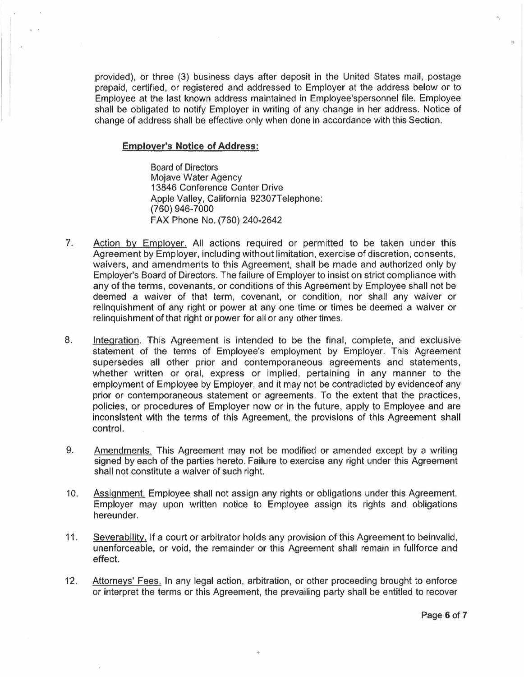provided), or three (3) business days after deposit in the United States mail, postage prepaid, certified, or registered and addressed to Employer at the address below or to Employee at the last known address maintained in Employee'spersonnel file. Employee shall be obligated to notify Employer in writing of any change in her address. Notice of change of address shall be effective only when done in accordance with this Section.

### **Employer's Notice of Address:**

Board of Directors Mojave Water Agency 13846 Conference Center Drive Apple Valley, California 92307Telephone: (760) 946-7000 FAX Phone No. (760) 240-2642

- 7. Action by Employer. All actions required or permitted to be taken under this Agreement by Employer, including without limitation, exercise of discretion, consents, waivers, and amendments to this Agreement, shall be made and authorized only by Employer's Board of Directors. The failure of Employer to insist on strict compliance with any of the terms, covenants, or conditions of this Agreement by Employee shall not be deemed a waiver of that term, covenant, or condition, nor shall any waiver or relinquishment of any right or power at any one time or times be deemed a waiver or relinquishment of that right or power for all or any other times.
- 8. Integration. This Agreement is intended to be the final, complete, and exclusive statement of the terms of Employee's employment by Employer. This Agreement supersedes all other prior and contemporaneous agreements and statements, whether written or oral, express or implied, pertaining in any manner to the employment of Employee by Employer, and it may not be contradicted by evidenceof any prior or contemporaneous statement or agreements. To the extent that the practices, policies, or procedures of Employer now or in the future, apply to Employee and are inconsistent with the terms of this Agreement, the provisions of this Agreement shall control.
- 9. Amendments. This Agreement may not be modified or amended except by a writing signed by each of the parties hereto. Failure to exercise any right under this Agreement shall not constitute a waiver of such right.
- 10. Assignment. Employee shall not assign any rights or obligations under this Agreement. Employer may upon written notice to Employee assign its rights and obligations hereunder.
- 11. Severability. If a court or arbitrator holds any provision of this Agreement to beinvalid, unenforceable, or void, the remainder or this Agreement shall remain in fullforce and effect.
- 12. Attorneys' Fees. In any legal action, arbitration, or other proceeding brought to enforce or interpret the terms or this Agreement, the prevailing party shall be entitled to recover

..

"\